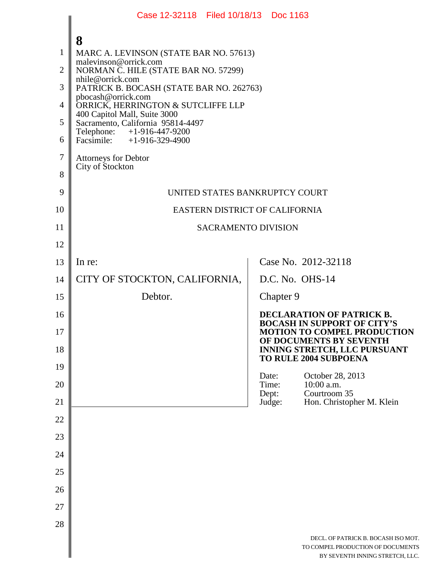|                | Case 12-32118 Filed 10/18/13 Doc 1163                                                           |       |                          |                                                                                                              |
|----------------|-------------------------------------------------------------------------------------------------|-------|--------------------------|--------------------------------------------------------------------------------------------------------------|
| $\mathbf{1}$   | 8<br>MARC A. LEVINSON (STATE BAR NO. 57613)<br>malevinson@orrick.com                            |       |                          |                                                                                                              |
| $\overline{2}$ | NORMAN C. HILE (STATE BAR NO. 57299)<br>nhile@orrick.com                                        |       |                          |                                                                                                              |
| 3              | PATRICK B. BOCASH (STATE BAR NO. 262763)<br>pbocash@orrick.com                                  |       |                          |                                                                                                              |
| 4              | ORRICK, HERRINGTON & SUTCLIFFE LLP<br>400 Capitol Mall, Suite 3000                              |       |                          |                                                                                                              |
| 5<br>6         | Sacramento, California 95814-4497<br>Telephone: +1-916-447-9200<br>Facsimile: $+1-916-329-4900$ |       |                          |                                                                                                              |
| 7              | <b>Attorneys for Debtor</b>                                                                     |       |                          |                                                                                                              |
| 8              | City of Stockton                                                                                |       |                          |                                                                                                              |
| 9              | UNITED STATES BANKRUPTCY COURT                                                                  |       |                          |                                                                                                              |
| 10             | EASTERN DISTRICT OF CALIFORNIA                                                                  |       |                          |                                                                                                              |
| 11             | <b>SACRAMENTO DIVISION</b>                                                                      |       |                          |                                                                                                              |
| 12             |                                                                                                 |       |                          |                                                                                                              |
| 13             | In re:                                                                                          |       |                          | Case No. 2012-32118                                                                                          |
| 14             | CITY OF STOCKTON, CALIFORNIA,                                                                   |       |                          | D.C. No. OHS-14                                                                                              |
| 15             | Debtor.                                                                                         |       | Chapter 9                |                                                                                                              |
| 16<br>17       |                                                                                                 |       |                          | <b>DECLARATION OF PATRICK B.</b><br><b>BOCASH IN SUPPORT OF CITY'S</b><br><b>MOTION TO COMPEL PRODUCTION</b> |
| 18             |                                                                                                 |       |                          | OF DOCUMENTS BY SEVENTH<br><b>INNING STRETCH, LLC PURSUANT</b><br><b>TO RULE 2004 SUBPOENA</b>               |
| 19             |                                                                                                 | Date: |                          | October 28, 2013                                                                                             |
| 20<br>21       |                                                                                                 |       | Time:<br>Dept:<br>Judge: | 10:00 a.m.<br>Courtroom 35<br>Hon. Christopher M. Klein                                                      |
| 22             |                                                                                                 |       |                          |                                                                                                              |
| 23             |                                                                                                 |       |                          |                                                                                                              |
| 24             |                                                                                                 |       |                          |                                                                                                              |
| 25             |                                                                                                 |       |                          |                                                                                                              |
| 26             |                                                                                                 |       |                          |                                                                                                              |
| 27             |                                                                                                 |       |                          |                                                                                                              |
| 28             |                                                                                                 |       |                          |                                                                                                              |
|                |                                                                                                 |       |                          | DECL. OF PATRICK B. BOCASH ISO MOT.<br>TO COMPEL PRODUCTION OF DOCUMENTS<br>BY SEVENTH INNING STRETCH, LLC.  |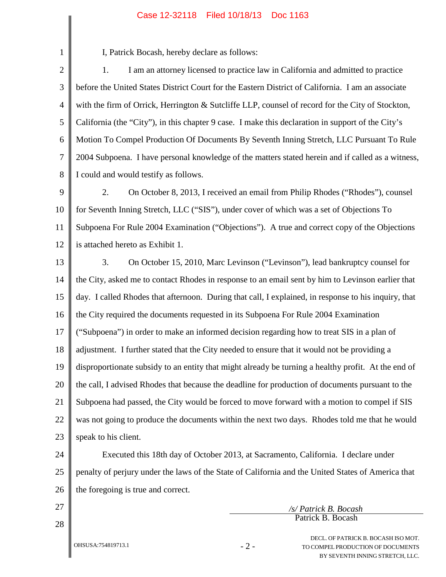## Case 12-32118 Filed 10/18/13 Doc 1163

I, Patrick Bocash, hereby declare as follows:

2 3 4 5 6 7 8 1. I am an attorney licensed to practice law in California and admitted to practice before the United States District Court for the Eastern District of California. I am an associate with the firm of Orrick, Herrington & Sutcliffe LLP, counsel of record for the City of Stockton, California (the "City"), in this chapter 9 case. I make this declaration in support of the City's Motion To Compel Production Of Documents By Seventh Inning Stretch, LLC Pursuant To Rule 2004 Subpoena. I have personal knowledge of the matters stated herein and if called as a witness, I could and would testify as follows.

9 10 11 12 2. On October 8, 2013, I received an email from Philip Rhodes ("Rhodes"), counsel for Seventh Inning Stretch, LLC ("SIS"), under cover of which was a set of Objections To Subpoena For Rule 2004 Examination ("Objections"). A true and correct copy of the Objections is attached hereto as Exhibit 1.

13 14 15 16 17 18 19 20 21 22 23 3. On October 15, 2010, Marc Levinson ("Levinson"), lead bankruptcy counsel for the City, asked me to contact Rhodes in response to an email sent by him to Levinson earlier that day. I called Rhodes that afternoon. During that call, I explained, in response to his inquiry, that the City required the documents requested in its Subpoena For Rule 2004 Examination ("Subpoena") in order to make an informed decision regarding how to treat SIS in a plan of adjustment. I further stated that the City needed to ensure that it would not be providing a disproportionate subsidy to an entity that might already be turning a healthy profit. At the end of the call, I advised Rhodes that because the deadline for production of documents pursuant to the Subpoena had passed, the City would be forced to move forward with a motion to compel if SIS was not going to produce the documents within the next two days. Rhodes told me that he would speak to his client.

24 25 26 Executed this 18th day of October 2013, at Sacramento, California. I declare under penalty of perjury under the laws of the State of California and the United States of America that the foregoing is true and correct.

27

1

28

*/s/ Patrick B. Bocash* Patrick B. Bocash

> DECL. OF PATRICK B. BOCASH ISO MOT. TO COMPEL PRODUCTION OF DOCUMENTS BY SEVENTH INNING STRETCH, LLC.

OHSUSA:754819713.1

- 2 -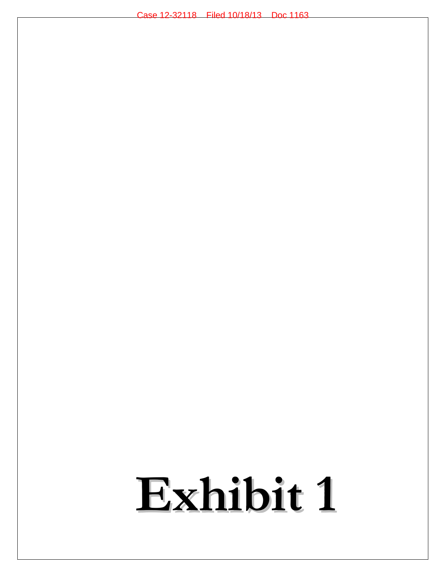# **Exhibit 1**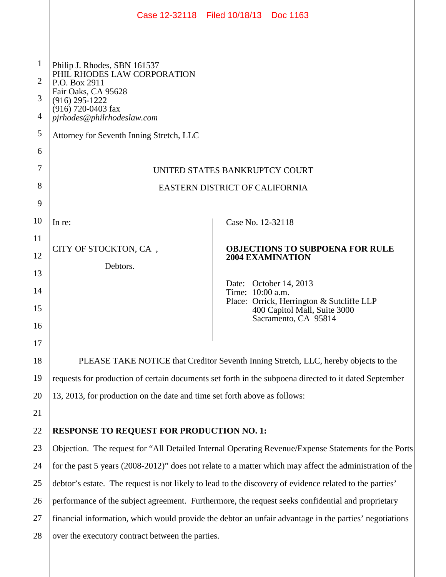|                |                                                                                                          | Case 12-32118 Filed 10/18/13 Doc 1163                                                                 |  |  |  |  |  |
|----------------|----------------------------------------------------------------------------------------------------------|-------------------------------------------------------------------------------------------------------|--|--|--|--|--|
|                |                                                                                                          |                                                                                                       |  |  |  |  |  |
| $\mathbf{1}$   | Philip J. Rhodes, SBN 161537<br>PHIL RHODES LAW CORPORATION                                              |                                                                                                       |  |  |  |  |  |
| $\overline{2}$ | P.O. Box 2911<br>Fair Oaks, CA 95628                                                                     |                                                                                                       |  |  |  |  |  |
| 3              | $(916)$ 295-1222<br>(916) 720-0403 fax                                                                   |                                                                                                       |  |  |  |  |  |
| $\overline{4}$ | pjrhodes@philrhodeslaw.com                                                                               |                                                                                                       |  |  |  |  |  |
| 5              | Attorney for Seventh Inning Stretch, LLC                                                                 |                                                                                                       |  |  |  |  |  |
| 6              |                                                                                                          |                                                                                                       |  |  |  |  |  |
| 7              | UNITED STATES BANKRUPTCY COURT                                                                           |                                                                                                       |  |  |  |  |  |
| 8              | EASTERN DISTRICT OF CALIFORNIA                                                                           |                                                                                                       |  |  |  |  |  |
| 9              |                                                                                                          |                                                                                                       |  |  |  |  |  |
| 10             | In re:                                                                                                   | Case No. 12-32118                                                                                     |  |  |  |  |  |
| 11             |                                                                                                          | <b>OBJECTIONS TO SUBPOENA FOR RULE</b>                                                                |  |  |  |  |  |
| 12             | CITY OF STOCKTON, CA,                                                                                    | <b>2004 EXAMINATION</b>                                                                               |  |  |  |  |  |
| 13             | Debtors.                                                                                                 |                                                                                                       |  |  |  |  |  |
| 14             |                                                                                                          | Date: October 14, 2013<br>Time: 10:00 a.m.                                                            |  |  |  |  |  |
| 15             |                                                                                                          | Place: Orrick, Herrington & Sutcliffe LLP<br>400 Capitol Mall, Suite 3000                             |  |  |  |  |  |
| 16             |                                                                                                          | Sacramento, CA 95814                                                                                  |  |  |  |  |  |
| 17             |                                                                                                          |                                                                                                       |  |  |  |  |  |
| 18             |                                                                                                          | PLEASE TAKE NOTICE that Creditor Seventh Inning Stretch, LLC, hereby objects to the                   |  |  |  |  |  |
| 19             |                                                                                                          | requests for production of certain documents set forth in the subpoena directed to it dated September |  |  |  |  |  |
| 20             | 13, 2013, for production on the date and time set forth above as follows:                                |                                                                                                       |  |  |  |  |  |
| 21             |                                                                                                          |                                                                                                       |  |  |  |  |  |
| 22             | <b>RESPONSE TO REQUEST FOR PRODUCTION NO. 1:</b>                                                         |                                                                                                       |  |  |  |  |  |
| 23             | Objection. The request for "All Detailed Internal Operating Revenue/Expense Statements for the Ports     |                                                                                                       |  |  |  |  |  |
| 24             | for the past 5 years (2008-2012)" does not relate to a matter which may affect the administration of the |                                                                                                       |  |  |  |  |  |
| 25             | debtor's estate. The request is not likely to lead to the discovery of evidence related to the parties'  |                                                                                                       |  |  |  |  |  |
| 26             | performance of the subject agreement. Furthermore, the request seeks confidential and proprietary        |                                                                                                       |  |  |  |  |  |
| 27             | financial information, which would provide the debtor an unfair advantage in the parties' negotiations   |                                                                                                       |  |  |  |  |  |
| 28             | over the executory contract between the parties.                                                         |                                                                                                       |  |  |  |  |  |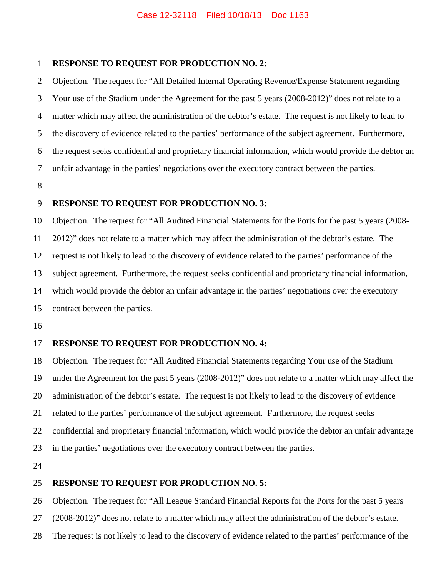3

4

5

# **RESPONSE TO REQUEST FOR PRODUCTION NO. 2:**

Objection. The request for "All Detailed Internal Operating Revenue/Expense Statement regarding Your use of the Stadium under the Agreement for the past 5 years (2008-2012)" does not relate to a matter which may affect the administration of the debtor's estate. The request is not likely to lead to the discovery of evidence related to the parties' performance of the subject agreement. Furthermore, the request seeks confidential and proprietary financial information, which would provide the debtor an unfair advantage in the parties' negotiations over the executory contract between the parties.

# **RESPONSE TO REQUEST FOR PRODUCTION NO. 3:**

Objection. The request for "All Audited Financial Statements for the Ports for the past 5 years (2008- 2012)" does not relate to a matter which may affect the administration of the debtor's estate. The request is not likely to lead to the discovery of evidence related to the parties' performance of the subject agreement. Furthermore, the request seeks confidential and proprietary financial information, which would provide the debtor an unfair advantage in the parties' negotiations over the executory contract between the parties.

# **RESPONSE TO REQUEST FOR PRODUCTION NO. 4:**

Objection. The request for "All Audited Financial Statements regarding Your use of the Stadium under the Agreement for the past 5 years (2008-2012)" does not relate to a matter which may affect the administration of the debtor's estate. The request is not likely to lead to the discovery of evidence related to the parties' performance of the subject agreement. Furthermore, the request seeks confidential and proprietary financial information, which would provide the debtor an unfair advantage in the parties' negotiations over the executory contract between the parties.

# **RESPONSE TO REQUEST FOR PRODUCTION NO. 5:**

Objection. The request for "All League Standard Financial Reports for the Ports for the past 5 years (2008-2012)" does not relate to a matter which may affect the administration of the debtor's estate. The request is not likely to lead to the discovery of evidence related to the parties' performance of the

28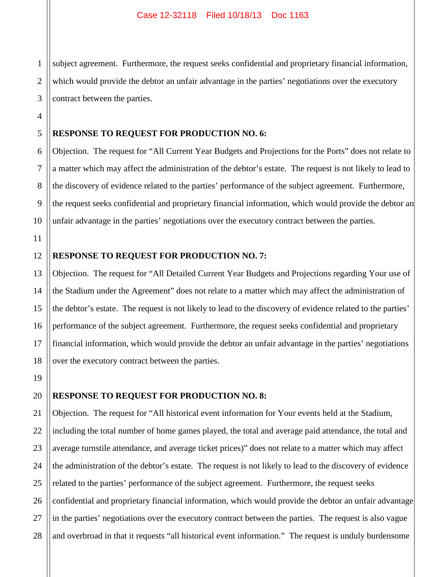1 2 3 subject agreement. Furthermore, the request seeks confidential and proprietary financial information, which would provide the debtor an unfair advantage in the parties' negotiations over the executory contract between the parties.

### 5 **RESPONSE TO REQUEST FOR PRODUCTION NO. 6:**

Objection. The request for "All Current Year Budgets and Projections for the Ports" does not relate to a matter which may affect the administration of the debtor's estate. The request is not likely to lead to the discovery of evidence related to the parties' performance of the subject agreement. Furthermore, the request seeks confidential and proprietary financial information, which would provide the debtor an unfair advantage in the parties' negotiations over the executory contract between the parties.

# 11

10

4

6

7

8

9

## 12 **RESPONSE TO REQUEST FOR PRODUCTION NO. 7:**

Objection. The request for "All Detailed Current Year Budgets and Projections regarding Your use of the Stadium under the Agreement" does not relate to a matter which may affect the administration of the debtor's estate. The request is not likely to lead to the discovery of evidence related to the parties' performance of the subject agreement. Furthermore, the request seeks confidential and proprietary financial information, which would provide the debtor an unfair advantage in the parties' negotiations over the executory contract between the parties.

# **RESPONSE TO REQUEST FOR PRODUCTION NO. 8:**

Objection. The request for "All historical event information for Your events held at the Stadium, including the total number of home games played, the total and average paid attendance, the total and average turnstile attendance, and average ticket prices)" does not relate to a matter which may affect the administration of the debtor's estate. The request is not likely to lead to the discovery of evidence related to the parties' performance of the subject agreement. Furthermore, the request seeks confidential and proprietary financial information, which would provide the debtor an unfair advantage in the parties' negotiations over the executory contract between the parties. The request is also vague and overbroad in that it requests "all historical event information." The request is unduly burdensome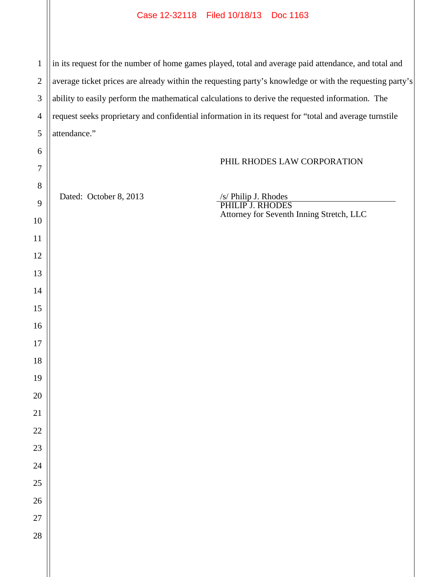## Case 12-32118 Filed 10/18/13 Doc 1163

 in its request for the number of home games played, total and average paid attendance, and total and average ticket prices are already within the requesting party's knowledge or with the requesting party's ability to easily perform the mathematical calculations to derive the requested information. The request seeks proprietary and confidential information in its request for "total and average turnstile attendance."

# PHIL RHODES LAW CORPORATION

Dated: October 8, 2013

/s/ Philip J. Rhodes PHILIP J. RHODES Attorney for Seventh Inning Stretch, LLC